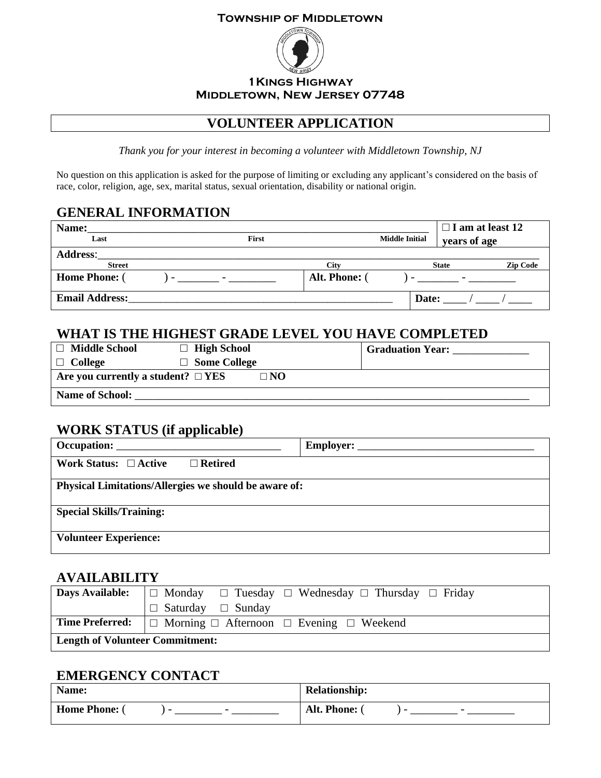#### **Township of Middletown**



#### **1Kings Highway Middletown, New Jersey 07748**

## **VOLUNTEER APPLICATION**

*Thank you for your interest in becoming a volunteer with Middletown Township, NJ*

No question on this application is asked for the purpose of limiting or excluding any applicant's considered on the basis of race, color, religion, age, sex, marital status, sexual orientation, disability or national origin.

## **GENERAL INFORMATION**

| Name:                 |                                       |             |       | $\Box$ I am at least 12         |  |
|-----------------------|---------------------------------------|-------------|-------|---------------------------------|--|
| Last                  | <b>Middle Initial</b><br><b>First</b> |             |       | years of age                    |  |
| <b>Address:</b>       |                                       |             |       |                                 |  |
| <b>Street</b>         |                                       | <b>City</b> |       | <b>Zip Code</b><br><b>State</b> |  |
| <b>Home Phone:</b> (  | the contract of the contract of the   | Alt. Phone: |       |                                 |  |
| <b>Email Address:</b> |                                       |             | Date: |                                 |  |

### **WHAT IS THE HIGHEST GRADE LEVEL YOU HAVE COMPLETED**

| <b>Middle School</b><br>$\Box$          | $\Box$ High School  |              | <b>Graduation Year:</b> |
|-----------------------------------------|---------------------|--------------|-------------------------|
| $\Box$ College                          | $\Box$ Some College |              |                         |
| Are you currently a student? $\Box$ YES |                     | $\square$ NO |                         |
| <b>Name of School:</b>                  |                     |              |                         |

### **WORK STATUS (if applicable)**

| Occupation:                                           |  |  |
|-------------------------------------------------------|--|--|
| Work Status: $\Box$ Active<br>$\Box$ Retired          |  |  |
| Physical Limitations/Allergies we should be aware of: |  |  |
| <b>Special Skills/Training:</b>                       |  |  |
| <b>Volunteer Experience:</b>                          |  |  |

### **AVAILABILITY**

| <b>Days Available:</b>                 | $\Box$ Monday $\Box$ Tuesday $\Box$ Wednesday $\Box$ Thursday $\Box$ Friday          |  |  |
|----------------------------------------|--------------------------------------------------------------------------------------|--|--|
|                                        | $\Box$ Saturday $\Box$ Sunday                                                        |  |  |
|                                        | <b>Time Preferred:</b> $\Box$ Morning $\Box$ Afternoon $\Box$ Evening $\Box$ Weekend |  |  |
| <b>Length of Volunteer Commitment:</b> |                                                                                      |  |  |

### **EMERGENCY CONTACT**

| Name:                                             | <b>Relationship:</b>                      |
|---------------------------------------------------|-------------------------------------------|
| Home Phone:<br>$\sim$<br>$\overline{\phantom{0}}$ | Alt. Phone: (<br>$\overline{\phantom{0}}$ |